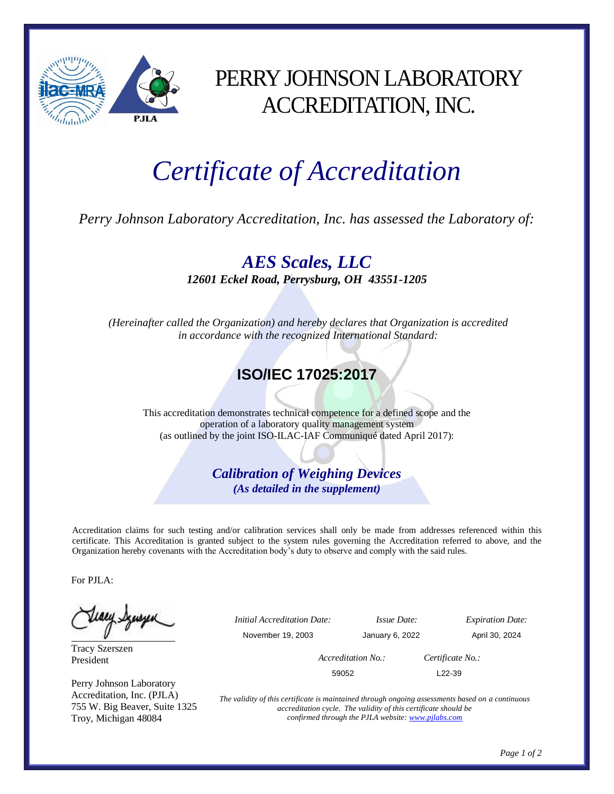

## PERRY JOHNSON LABORATORY ACCREDITATION, INC.

## *Certificate of Accreditation*

*Perry Johnson Laboratory Accreditation, Inc. has assessed the Laboratory of:*

*AES Scales, LLC 12601 Eckel Road, Perrysburg, OH 43551-1205*

*(Hereinafter called the Organization) and hereby declares that Organization is accredited in accordance with the recognized International Standard:*

## **ISO/IEC 17025:2017**

This accreditation demonstrates technical competence for a defined scope and the operation of a laboratory quality management system (as outlined by the joint ISO-ILAC-IAF Communiqué dated April 2017):

> *Calibration of Weighing Devices (As detailed in the supplement)*

Accreditation claims for such testing and/or calibration services shall only be made from addresses referenced within this certificate. This Accreditation is granted subject to the system rules governing the Accreditation referred to above, and the Organization hereby covenants with the Accreditation body's duty to observe and comply with the said rules.

For PJLA:

Teacy Synsyn

Tracy Szerszen President

Perry Johnson Laboratory Accreditation, Inc. (PJLA) 755 W. Big Beaver, Suite 1325 Troy, Michigan 48084

 *Initial Accreditation Date: Issue Date: Expiration Date:* November 19, 2003 January 6, 2022 April 30, 2024  *Accreditation No.: Certificate No.:*  $59052$  L22-39

> *The validity of this certificate is maintained through ongoing assessments based on a continuous accreditation cycle. The validity of this certificate should be confirmed through the PJLA website[: www.pjlabs.com](http://www.pjlabs.com/)*